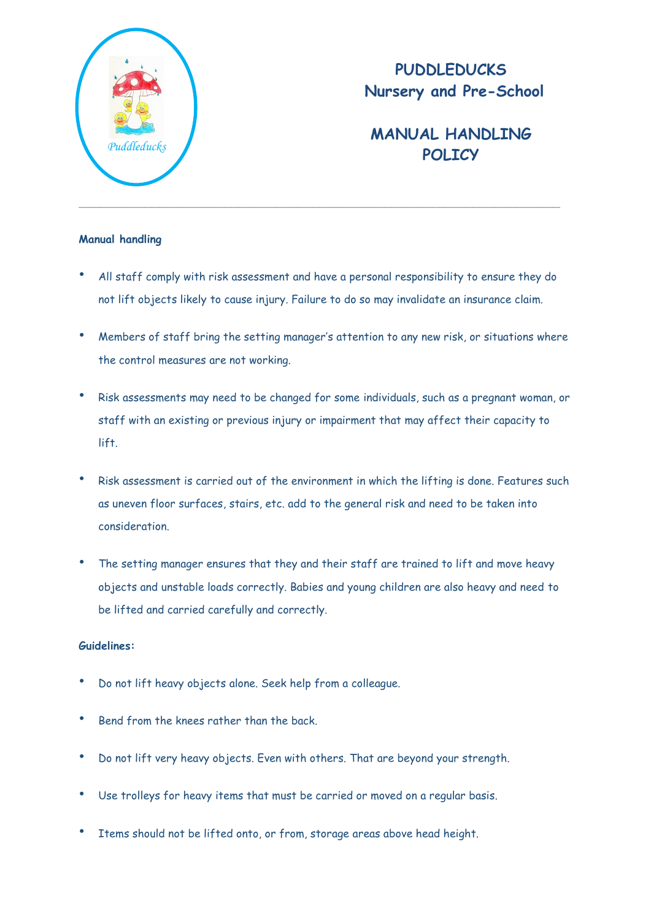

## **PUDDLEDUCKS Nursery and Pre-School**

## **MANUAL HANDLING** *Puddleducks* **POLICY**

## **Manual handling**

- All staff comply with risk assessment and have a personal responsibility to ensure they do not lift objects likely to cause injury. Failure to do so may invalidate an insurance claim.
- Members of staff bring the setting manager's attention to any new risk, or situations where the control measures are not working.
- Risk assessments may need to be changed for some individuals, such as a pregnant woman, or staff with an existing or previous injury or impairment that may affect their capacity to lift.
- Risk assessment is carried out of the environment in which the lifting is done. Features such as uneven floor surfaces, stairs, etc. add to the general risk and need to be taken into consideration.
- The setting manager ensures that they and their staff are trained to lift and move heavy objects and unstable loads correctly. Babies and young children are also heavy and need to be lifted and carried carefully and correctly.

## **Guidelines:**

- Do not lift heavy objects alone. Seek help from a colleague.
- Bend from the knees rather than the back.
- Do not lift very heavy objects. Even with others. That are beyond your strength.
- Use trolleys for heavy items that must be carried or moved on a regular basis.
- Items should not be lifted onto, or from, storage areas above head height.